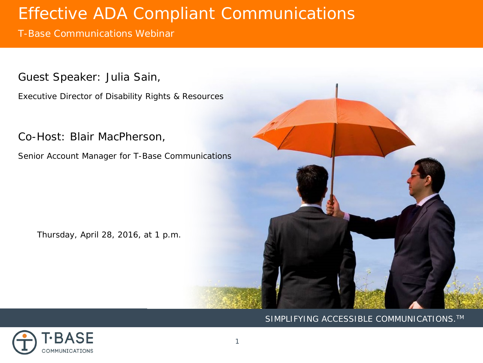T-Base Communications Webinar

Guest Speaker: Julia Sain,

Executive Director of Disability Rights & Resources

Co-Host: Blair MacPherson,

Senior Account Manager for T-Base Communications

Thursday, April 28, 2016, at 1 p.m.



### SIMPLIFYING ACCESSIBLE COMMUNICATIONS.<sup>™</sup>

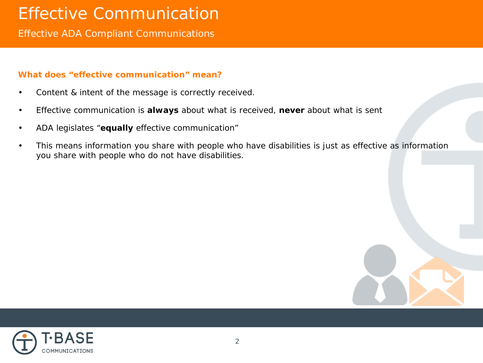# Effective Communication

Effective ADA Compliant Communications

### **What does "effective communication" mean?**

- Content & intent of the message is correctly received.
- Effective communication is **always** about what is *received*, **never** about what is sent
- ADA legislates "**equally** effective communication"
- This means information you share with people who have disabilities is just as effective as information you share with people who do not have disabilities.



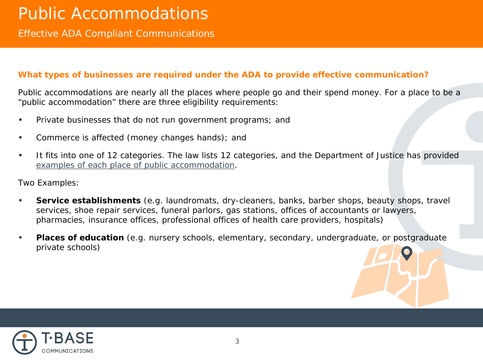### **What types of businesses are required under the ADA to provide effective communication?**

Public accommodations are nearly all the places where people go and their spend money. For a place to be a "public accommodation" there are three eligibility requirements:

- Private businesses that do not run government programs; and
- Commerce is affected (money changes hands); and
- It fits into one of 12 categories. The law lists 12 categories, and the Department of Justice has provided [examples of each place of public accommodation.](http://www.ada.gov/regs2010/titleIII_2010/titleIII_2010_regulations.htm#a104)

Two Examples:

- **Service establishments** (e.g. laundromats, dry-cleaners, banks, barber shops, beauty shops, travel services, shoe repair services, funeral parlors, gas stations, offices of accountants or lawyers, pharmacies, insurance offices, professional offices of health care providers, hospitals)
- **Places of education** (e.g. nursery schools, elementary, secondary, undergraduate, or postgraduate private schools)

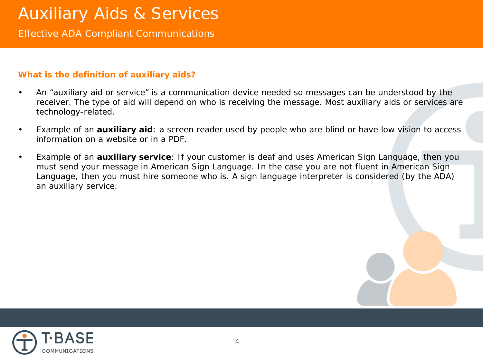### **What is the definition of auxiliary aids?**

• An "auxiliary aid or service" is a communication device needed so messages can be understood by the receiver. The type of aid will depend on who is receiving the message. Most auxiliary aids or services are technology-related.

- Example of an **auxiliary aid**: a screen reader used by people who are blind or have low vision to access information on a website or in a PDF.
- Example of an **auxiliary service**: If your customer is deaf and uses American Sign Language, then you must send your message in American Sign Language. In the case you are not fluent in American Sign Language, then you must hire someone who is. A sign language interpreter is considered (by the ADA) an auxiliary service.

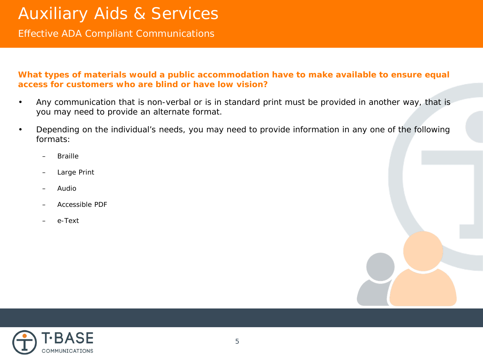### **What types of materials would a public accommodation have to make available to ensure equal access for customers who are blind or have low vision?**

- Any communication that is non-verbal or is in standard print must be provided in another way, that is you may need to provide an alternate format.
- Depending on the individual's needs, you may need to provide information in any one of the following formats:
	- Braille
	- Large Print
	- Audio
	- Accessible PDF
	- e-Text

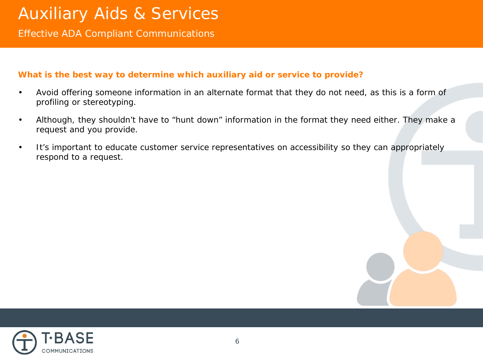### **What is the best way to determine which auxiliary aid or service to provide?**

• Avoid offering someone information in an alternate format that they do not need, as this is a form of profiling or stereotyping.

- Although, they shouldn't have to "hunt down" information in the format they need either. They make a request and you provide.
- It's important to educate customer service representatives on accessibility so they can appropriately respond to a request.

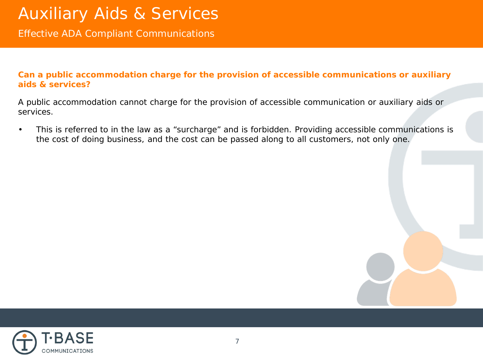**Can a public accommodation charge for the provision of accessible communications or auxiliary aids & services?** 

A public accommodation *cannot* charge for the provision of accessible communication or auxiliary aids or services.

• This is referred to in the law as a "surcharge" and is forbidden. Providing accessible communications is the cost of doing business, and the cost can be passed along to all customers, not only one.

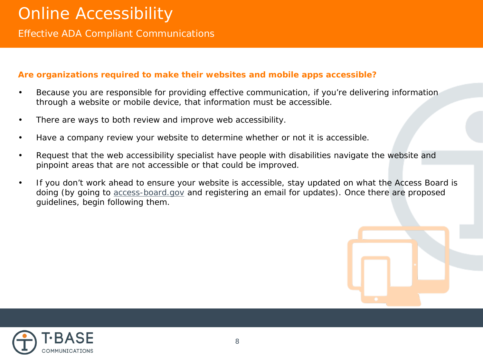## **Are organizations required to make their websites and mobile apps accessible?**

Because you are responsible for providing effective communication, if you're delivering information through a website or mobile device, that information *must* be accessible.

- There are ways to both review and improve web accessibility.
- Have a company review your website to determine whether or not it is accessible.
- Request that the web accessibility specialist have people with disabilities navigate the website and pinpoint areas that are not accessible or that could be improved.
- If you don't work ahead to ensure your website is accessible, stay updated on what the Access Board is doing (by going to [access-board.gov](https://www.access-board.gov/) and registering an email for updates). Once there are proposed guidelines, begin following them.



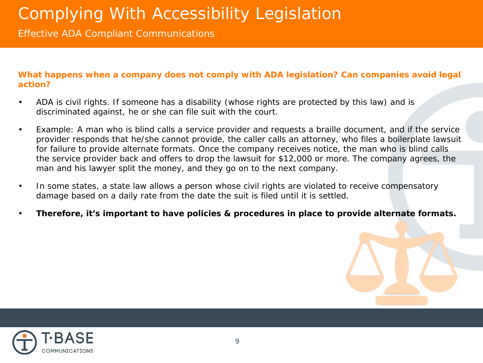**What happens when a company** *does not* **comply with ADA legislation? Can companies avoid legal action?** 

- ADA is civil rights. If someone has a disability (whose rights are protected by this law) and is discriminated against, he or she can file suit with the court.
- Example: A man who is blind calls a service provider and requests a braille document, and if the service provider responds that he/she cannot provide, the caller calls an attorney, who files a boilerplate lawsuit for failure to provide alternate formats. Once the company receives notice, the man who is blind calls the service provider back and offers to drop the lawsuit for \$12,000 or more. The company agrees, the man and his lawyer split the money, and they go on to the next company.
- In some states, a state law allows a person whose civil rights are violated to receive compensatory damage based on a daily rate from the date the suit is filed until it is settled.
- **Therefore, it's important to have policies & procedures in place to provide alternate formats.**



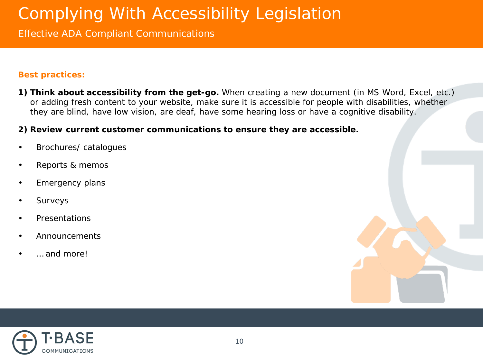# Complying With Accessibility Legislation

## Effective ADA Compliant Communications

### **Best practices:**

**1) Think about accessibility from the get-go.** When creating a new document (in MS Word, Excel, etc.) or adding fresh content to your website, make sure it is accessible for people with disabilities, whether they are blind, have low vision, are deaf, have some hearing loss or have a cognitive disability.

### **2) Review current customer communications to ensure they are accessible.**

- Brochures/ catalogues
- Reports & memos
- Emergency plans
- **Surveys**
- **Presentations**
- Announcements
- … and more!

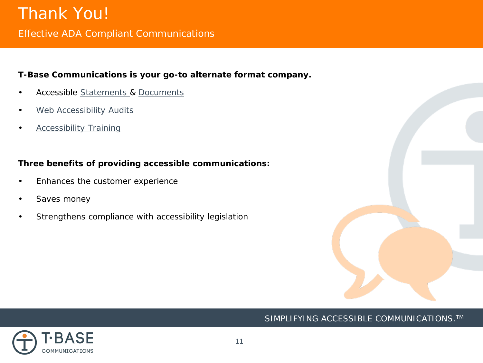## **T-Base Communications is your go-to alternate format company.**

- Accessible [Statements](http://www.tbase.com/monthly-statements) & [Documents](http://www.tbase.com/other-documents)
- [Web Accessibility Audits](http://www.tbase.com/accessible-website-audit)
- **[Accessibility Training](http://www.tbase.com/online-accessibility-training)**

## **Three benefits of providing accessible communications:**

- Enhances the customer experience
- Saves money
- Strengthens compliance with accessibility legislation



## SIMPLIFYING ACCESSIBLE COMMUNICATIONS.<sup>™</sup>